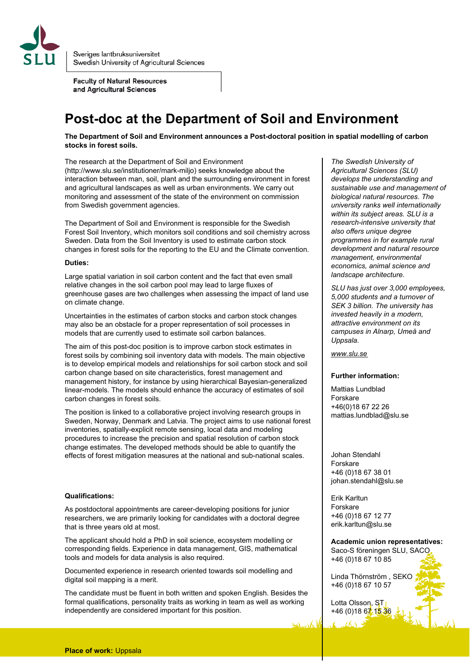

Sveriges lantbruksuniversitet Swedish University of Agricultural Sciences

**Faculty of Natural Resources** and Agricultural Sciences

# **Post-doc at the Department of Soil and Environment**

**The Department of Soil and Environment announces a Post-doctoral position in spatial modelling of carbon stocks in forest soils.**

The research at the Department of Soil and Environment (http://www.slu.se/institutioner/mark-miljo) seeks knowledge about the interaction between man, soil, plant and the surrounding environment in forest and agricultural landscapes as well as urban environments. We carry out monitoring and assessment of the state of the environment on commission from Swedish government agencies.

The Department of Soil and Environment is responsible for the Swedish Forest Soil Inventory, which monitors soil conditions and soil chemistry across Sweden. Data from the Soil Inventory is used to estimate carbon stock changes in forest soils for the reporting to the EU and the Climate convention.

## **Duties:**

Large spatial variation in soil carbon content and the fact that even small relative changes in the soil carbon pool may lead to large fluxes of greenhouse gases are two challenges when assessing the impact of land use on climate change.

Uncertainties in the estimates of carbon stocks and carbon stock changes may also be an obstacle for a proper representation of soil processes in models that are currently used to estimate soil carbon balances.

The aim of this post-doc position is to improve carbon stock estimates in forest soils by combining soil inventory data with models. The main objective is to develop empirical models and relationships for soil carbon stock and soil carbon change based on site characteristics, forest management and management history, for instance by using hierarchical Bayesian-generalized linear-models. The models should enhance the accuracy of estimates of soil carbon changes in forest soils.

The position is linked to a collaborative project involving research groups in Sweden, Norway, Denmark and Latvia. The project aims to use national forest inventories, spatially-explicit remote sensing, local data and modeling procedures to increase the precision and spatial resolution of carbon stock change estimates. The developed methods should be able to quantify the effects of forest mitigation measures at the national and sub-national scales.

#### **Qualifications:**

As postdoctoral appointments are career-developing positions for junior researchers, we are primarily looking for candidates with a doctoral degree that is three years old at most.

The applicant should hold a PhD in soil science, ecosystem modelling or corresponding fields. Experience in data management, GIS, mathematical tools and models for data analysis is also required.

Documented experience in research oriented towards soil modelling and digital soil mapping is a merit.

The candidate must be fluent in both written and spoken English. Besides the formal qualifications, personality traits as working in team as well as working independently are considered important for this position.

*The Swedish University of Agricultural Sciences (SLU) develops the understanding and sustainable use and management of biological natural resources. The university ranks well internationally within its subject areas. SLU is a research-intensive university that also offers unique degree programmes in for example rural development and natural resource management, environmental economics, animal science and landscape architecture.* 

*SLU has just over 3,000 employees, 5,000 students and a turnover of SEK 3 billion. The university has invested heavily in a modern, attractive environment on its campuses in Alnarp, Umeå and Uppsala.*

### *[www.slu.se](http://www.slu.se/)*

#### **Further information:**

Mattias Lundblad Forskare +46(0)18 67 22 26 mattias.lundblad@slu.se

Johan Stendahl Forskare +46 (0)18 67 38 01 johan.stendahl@slu.se

Erik Karltun Forskare +46 (0)18 67 12 77 erik.karltun@slu.se

**Academic union representatives:** Saco-S föreningen SLU, SACO +46 (0)18 67 10 85

Linda Thörnström , SEKO +46 (0)18 67 10 57

Lotta Olsson, ST  $+46(0)18671536$